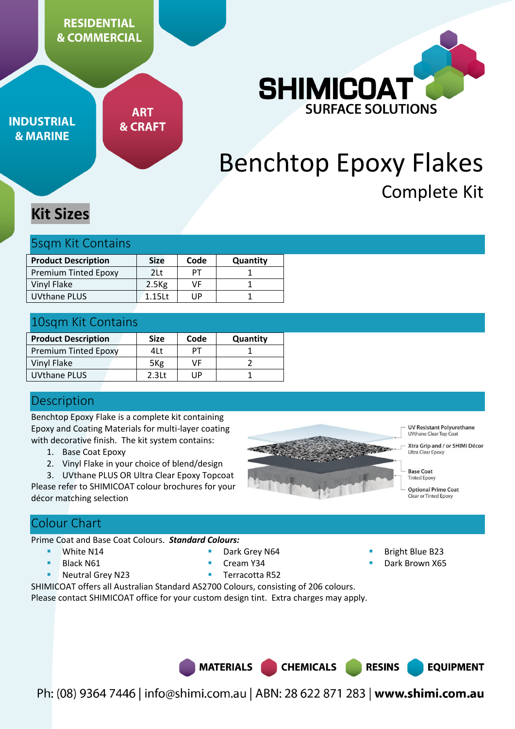# **RESIDENTIAL & COMMERCIAL**

**INDUSTRIAL & MARINE** 

**ART & CRAFT** 



# Benchtop Epoxy Flakes Complete Kit

# **Kit Sizes**

## 5sqm Kit Contains

| <b>Product Description</b>  | <b>Size</b>       | Code | Quantity |
|-----------------------------|-------------------|------|----------|
| <b>Premium Tinted Epoxy</b> | 2Lt               | PТ   |          |
| Vinyl Flake                 | 2.5 <sub>Kg</sub> | VF   |          |
| UVthane PLUS                | 1.151t            | l IP |          |

# 10sqm Kit Contains

| <b>Product Description</b>  | <b>Size</b>       | Code | Quantity |
|-----------------------------|-------------------|------|----------|
| <b>Premium Tinted Epoxy</b> | 4Lt               | PТ   |          |
| Vinyl Flake                 | 5 <sub>Kg</sub>   | VF   |          |
| <b>UVthane PLUS</b>         | 2.3 <sub>lt</sub> | UP   |          |

# **Description**

Benchtop Epoxy Flake is a complete kit containing Epoxy and Coating Materials for multi-layer coating with decorative finish. The kit system contains:

- 1. Base Coat Epoxy
- 2. Vinyl Flake in your choice of blend/design
- 3. UVthane PLUS OR Ultra Clear Epoxy Topcoat

Please refer to SHIMICOAT colour brochures for your décor matching selection



**UV Resistant Polyurethane** UVthane Clear Top Coat

Xtra Grip and / or SHIMI Décor Ultra Clear Epoxy

- **Base Coat Tinted Epoxy**
- **Optional Prime Coat**
- ar or Tinted Epoxy

# Colour Chart

Prime Coat and Base Coat Colours. *Standard Colours:*

- **White N14**
- Black N61
- Neutral Grey N23
- Dark Grey N64
- Cream Y34
- Bright Blue B23
- Dark Brown X65

■ Terracotta R52

SHIMICOAT offers all Australian Standard AS2700 Colours, consisting of 206 colours.

Please contact SHIMICOAT office for your custom design tint. Extra charges may apply.



**RESINS EQUIPMENT**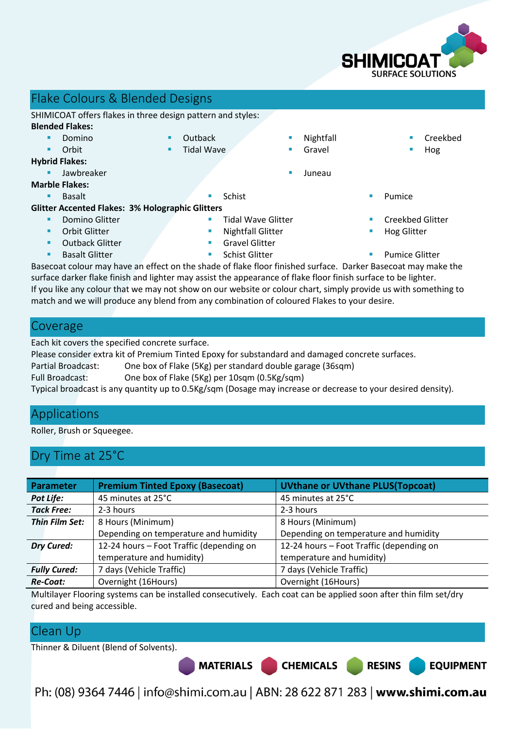

# Flake Colours & Blended Designs

SHIMICOAT offers flakes in three design pattern and styles:

#### **Blended Flakes:**

- Domino Orbit
- **Outback** 
	- Tidal Wave

#### **Hybrid Flakes:**

- Jawbreaker Juneau
- **Marble Flakes:** 
	-

#### **Glitter Accented Flakes: 3% Holographic Glitters**

- Domino Glitter
- Orbit Glitter
- Outback Glitter
- 
- 
- Tidal Wave Glitter
- 
- 
- Nightfall Gravel
- Creekbed
	- Hog
- 

**RESINS** 

**EQUIPMENT** 

- Creekbed Glitter
- Hog Glitter
- **Basalt Glitter Schist Glitter Schist Glitter Pumice Glitter Pumice Glitter**

Basecoat colour may have an effect on the shade of flake floor finished surface. Darker Basecoat may make the surface darker flake finish and lighter may assist the appearance of flake floor finish surface to be lighter. If you like any colour that we may not show on our website or colour chart, simply provide us with something to match and we will produce any blend from any combination of coloured Flakes to your desire.

# Coverage

Each kit covers the specified concrete surface.

Please consider extra kit of Premium Tinted Epoxy for substandard and damaged concrete surfaces.

Partial Broadcast: One box of Flake (5Kg) per standard double garage (36sqm)

Full Broadcast: One box of Flake (5Kg) per 10sqm (0.5Kg/sqm)

Typical broadcast is any quantity up to 0.5Kg/sqm (Dosage may increase or decrease to your desired density).

# Applications

Roller, Brush or Squeegee.

# Dry Time at 25°C

| <b>Parameter</b>    | <b>Premium Tinted Epoxy (Basecoat)</b>   | <b>UVthane or UVthane PLUS(Topcoat)</b>  |  |
|---------------------|------------------------------------------|------------------------------------------|--|
| Pot Life:           | 45 minutes at 25°C                       | 45 minutes at 25°C                       |  |
| <b>Tack Free:</b>   | 2-3 hours                                | 2-3 hours                                |  |
| Thin Film Set:      | 8 Hours (Minimum)                        | 8 Hours (Minimum)                        |  |
|                     | Depending on temperature and humidity    | Depending on temperature and humidity    |  |
| <b>Dry Cured:</b>   | 12-24 hours - Foot Traffic (depending on | 12-24 hours - Foot Traffic (depending on |  |
|                     | temperature and humidity)                | temperature and humidity)                |  |
| <b>Fully Cured:</b> | 7 days (Vehicle Traffic)                 | 7 days (Vehicle Traffic)                 |  |
| <b>Re-Coat:</b>     | Overnight (16Hours)                      | Overnight (16Hours)                      |  |

Multilayer Flooring systems can be installed consecutively. Each coat can be applied soon after thin film set/dry cured and being accessible.

# Clean Up

Thinner & Diluent (Blend of Solvents).

Ph: (08) 9364 7446 | info@shimi.com.au | ABN: 28 622 871 283 | www.shimi.com.au

MATERIALS CHEMICALS

- **Basalt Basalt Basalt Basalt Report** *Schist* **Basalt Pumice Pumice** 
	-
	- Nightfall Glitter
	- Gravel Glitter
	-
	-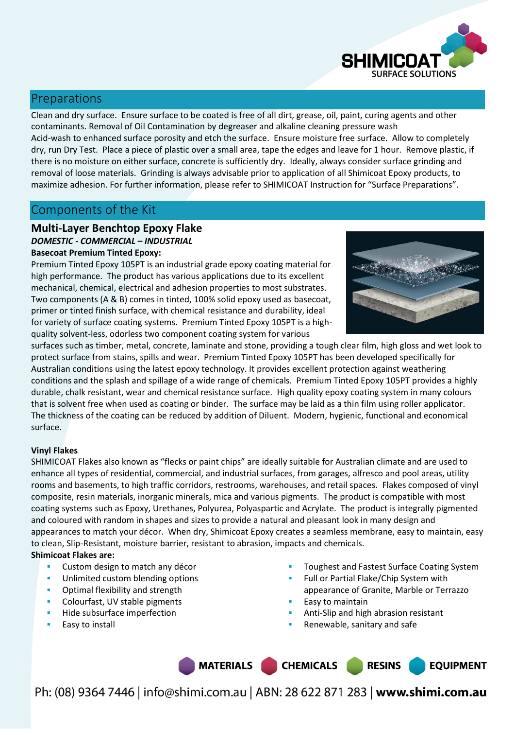

# Preparations

Clean and dry surface. Ensure surface to be coated is free of all dirt, grease, oil, paint, curing agents and other contaminants. Removal of Oil Contamination by degreaser and alkaline cleaning pressure wash Acid-wash to enhanced surface porosity and etch the surface. Ensure moisture free surface. Allow to completely dry, run Dry Test. Place a piece of plastic over a small area, tape the edges and leave for 1 hour. Remove plastic, if there is no moisture on either surface, concrete is sufficiently dry. Ideally, always consider surface grinding and removal of loose materials. Grinding is always advisable prior to application of all Shimicoat Epoxy products, to maximize adhesion. For further information, please refer to SHIMICOAT Instruction for "Surface Preparations".

# Components of the Kit

#### **Multi-Layer Benchtop Epoxy Flake**  *DOMESTIC - COMMERCIAL – INDUSTRIAL*

#### **Basecoat Premium Tinted Epoxy:**

Premium Tinted Epoxy 105PT is an industrial grade epoxy coating material for high performance. The product has various applications due to its excellent mechanical, chemical, electrical and adhesion properties to most substrates. Two components (A & B) comes in tinted, 100% solid epoxy used as basecoat, primer or tinted finish surface, with chemical resistance and durability, ideal for variety of surface coating systems. Premium Tinted Epoxy 105PT is a highquality solvent-less, odorless two component coating system for various



surfaces such as timber, metal, concrete, laminate and stone, providing a tough clear film, high gloss and wet look to protect surface from stains, spills and wear. Premium Tinted Epoxy 105PT has been developed specifically for Australian conditions using the latest epoxy technology. It provides excellent protection against weathering conditions and the splash and spillage of a wide range of chemicals. Premium Tinted Epoxy 105PT provides a highly durable, chalk resistant, wear and chemical resistance surface. High quality epoxy coating system in many colours that is solvent free when used as coating or binder. The surface may be laid as a thin film using roller applicator. The thickness of the coating can be reduced by addition of Diluent. Modern, hygienic, functional and economical surface.

#### **Vinyl Flakes**

SHIMICOAT Flakes also known as "flecks or paint chips" are ideally suitable for Australian climate and are used to enhance all types of residential, commercial, and industrial surfaces, from garages, alfresco and pool areas, utility rooms and basements, to high traffic corridors, restrooms, warehouses, and retail spaces. Flakes composed of vinyl composite, resin materials, inorganic minerals, mica and various pigments. The product is compatible with most coating systems such as Epoxy, Urethanes, Polyurea, Polyaspartic and Acrylate. The product is integrally pigmented and coloured with random in shapes and sizes to provide a natural and pleasant look in many design and appearances to match your décor. When dry, Shimicoat Epoxy creates a seamless membrane, easy to maintain, easy to clean, Slip-Resistant, moisture barrier, resistant to abrasion, impacts and chemicals.

#### **Shimicoat Flakes are:**

- **EXECUSTOM DESIGN TO MATCH ANY DECOT**
- Unlimited custom blending options
- **•** Optimal flexibility and strength
- Colourfast, UV stable pigments
- Hide subsurface imperfection
- Easy to install
- Toughest and Fastest Surface Coating System
- Full or Partial Flake/Chip System with appearance of Granite, Marble or Terrazzo
- Easy to maintain
- Anti-Slip and high abrasion resistant
- Renewable, sanitary and safe

MATERIALS CHEMICALS **RESINS EQUIPMENT**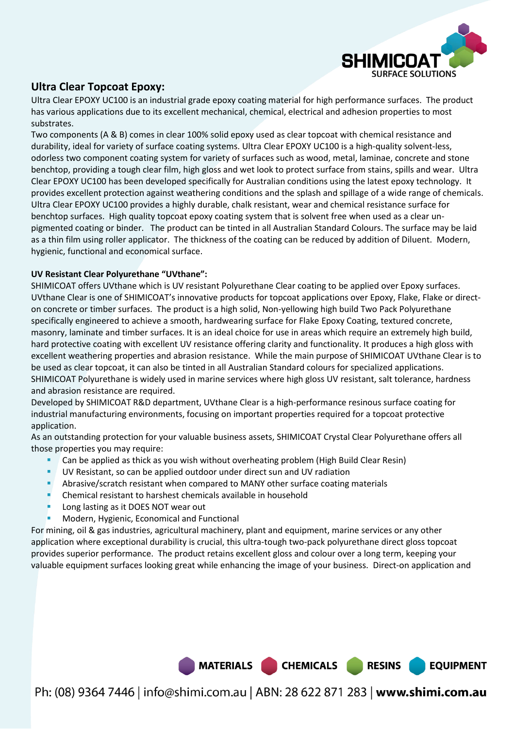

### **Ultra Clear Topcoat Epoxy:**

Ultra Clear EPOXY UC100 is an industrial grade epoxy coating material for high performance surfaces. The product has various applications due to its excellent mechanical, chemical, electrical and adhesion properties to most substrates.

Two components (A & B) comes in clear 100% solid epoxy used as clear topcoat with chemical resistance and durability, ideal for variety of surface coating systems. Ultra Clear EPOXY UC100 is a high-quality solvent-less, odorless two component coating system for variety of surfaces such as wood, metal, laminae, concrete and stone benchtop, providing a tough clear film, high gloss and wet look to protect surface from stains, spills and wear. Ultra Clear EPOXY UC100 has been developed specifically for Australian conditions using the latest epoxy technology. It provides excellent protection against weathering conditions and the splash and spillage of a wide range of chemicals. Ultra Clear EPOXY UC100 provides a highly durable, chalk resistant, wear and chemical resistance surface for benchtop surfaces. High quality topcoat epoxy coating system that is solvent free when used as a clear unpigmented coating or binder. The product can be tinted in all Australian Standard Colours. The surface may be laid as a thin film using roller applicator. The thickness of the coating can be reduced by addition of Diluent. Modern, hygienic, functional and economical surface.

#### **UV Resistant Clear Polyurethane "UVthane":**

SHIMICOAT offers UVthane which is UV resistant Polyurethane Clear coating to be applied over Epoxy surfaces. UVthane Clear is one of SHIMICOAT's innovative products for topcoat applications over Epoxy, Flake, Flake or directon concrete or timber surfaces. The product is a high solid, Non-yellowing high build Two Pack Polyurethane specifically engineered to achieve a smooth, hardwearing surface for Flake Epoxy Coating, textured concrete, masonry, laminate and timber surfaces. It is an ideal choice for use in areas which require an extremely high build, hard protective coating with excellent UV resistance offering clarity and functionality. It produces a high gloss with excellent weathering properties and abrasion resistance. While the main purpose of SHIMICOAT UVthane Clear is to be used as clear topcoat, it can also be tinted in all Australian Standard colours for specialized applications. SHIMICOAT Polyurethane is widely used in marine services where high gloss UV resistant, salt tolerance, hardness and abrasion resistance are required.

Developed by SHIMICOAT R&D department, UVthane Clear is a high-performance resinous surface coating for industrial manufacturing environments, focusing on important properties required for a topcoat protective application.

As an outstanding protection for your valuable business assets, SHIMICOAT Crystal Clear Polyurethane offers all those properties you may require:

- Can be applied as thick as you wish without overheating problem (High Build Clear Resin)
- UV Resistant, so can be applied outdoor under direct sun and UV radiation
- Abrasive/scratch resistant when compared to MANY other surface coating materials
- Chemical resistant to harshest chemicals available in household
- Long lasting as it DOES NOT wear out
- Modern, Hygienic, Economical and Functional

For mining, oil & gas industries, agricultural machinery, plant and equipment, marine services or any other application where exceptional durability is crucial, this ultra-tough two-pack polyurethane direct gloss topcoat provides superior performance. The product retains excellent gloss and colour over a long term, keeping your valuable equipment surfaces looking great while enhancing the image of your business. Direct-on application and



Ph: (08) 9364 7446 | info@shimi.com.au | ABN: 28 622 871 283 | www.shimi.com.au

**RESINS** 

**EQUIPMENT**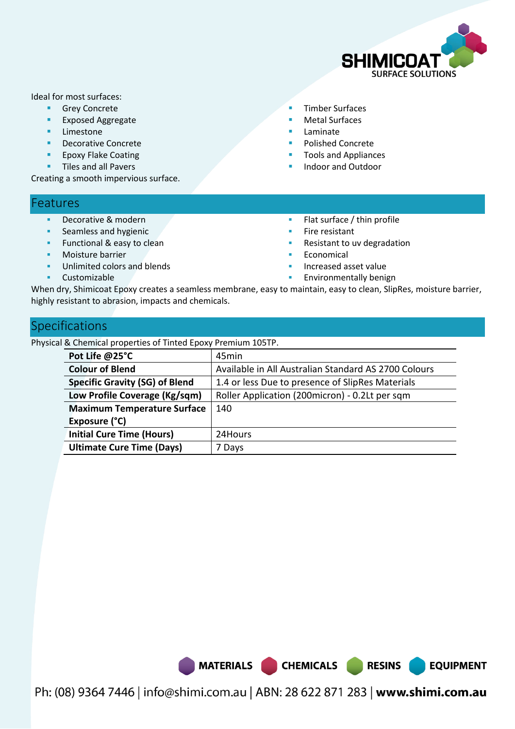

**EQUIPMENT** 

Ideal for most surfaces:

- **Grey Concrete**
- **Exposed Aggregate**
- Limestone
- Decorative Concrete
- **Epoxy Flake Coating**
- **Tiles and all Pavers**

Creating a smooth impervious surface.

# Features

- Decorative & modern
- Seamless and hygienic
- Functional & easy to clean
- Moisture barrier
- Unlimited colors and blends
- Customizable
- Timber Surfaces
- Metal Surfaces
- Laminate
- Polished Concrete
- Tools and Appliances
- Indoor and Outdoor
- **Flat surface / thin profile**
- Fire resistant
- Resistant to uv degradation
- Economical
- Increased asset value
- Environmentally benign

When dry, Shimicoat Epoxy creates a seamless membrane, easy to maintain, easy to clean, SlipRes, moisture barrier, highly resistant to abrasion, impacts and chemicals.

# Specifications

Physical & Chemical properties of Tinted Epoxy Premium 105TP.

| Pot Life @25°C                        | 45min                                                |
|---------------------------------------|------------------------------------------------------|
| <b>Colour of Blend</b>                | Available in All Australian Standard AS 2700 Colours |
| <b>Specific Gravity (SG) of Blend</b> | 1.4 or less Due to presence of SlipRes Materials     |
| Low Profile Coverage (Kg/sqm)         | Roller Application (200micron) - 0.2Lt per sqm       |
| <b>Maximum Temperature Surface</b>    | 140                                                  |
| Exposure (°C)                         |                                                      |
| <b>Initial Cure Time (Hours)</b>      | 24Hours                                              |
| <b>Ultimate Cure Time (Days)</b>      | 7 Days                                               |

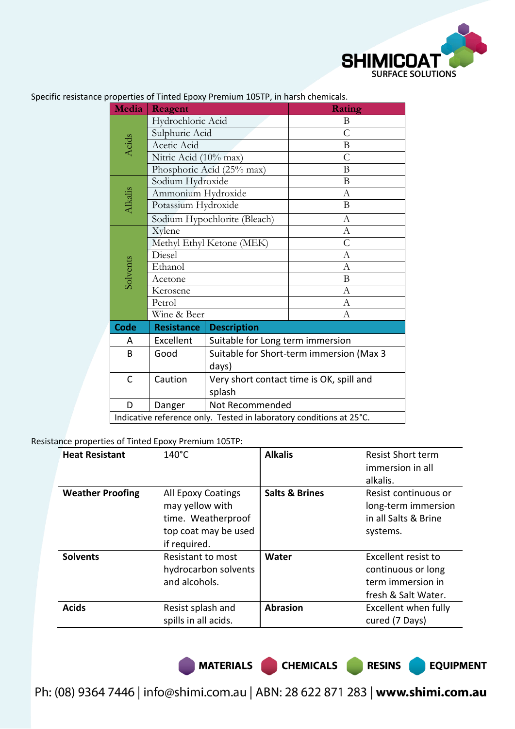

| Media                                                               | Reagent                   |                                          | Rating           |  |
|---------------------------------------------------------------------|---------------------------|------------------------------------------|------------------|--|
|                                                                     | Hydrochloric Acid         |                                          | B                |  |
|                                                                     | Sulphuric Acid            |                                          | $\mathcal{C}$    |  |
| Acids                                                               | Acetic Acid               |                                          | B                |  |
|                                                                     | Nitric Acid (10% max)     |                                          | $\overline{C}$   |  |
|                                                                     |                           | Phosphoric Acid (25% max)                | B                |  |
|                                                                     | Sodium Hydroxide          |                                          | B                |  |
|                                                                     | Ammonium Hydroxide        |                                          | А                |  |
| Alkalis                                                             | Potassium Hydroxide       |                                          | B                |  |
|                                                                     |                           | Sodium Hypochlorite (Bleach)             | $\mathbf{A}$     |  |
|                                                                     | Xylene                    |                                          | А                |  |
|                                                                     | Methyl Ethyl Ketone (MEK) |                                          | $\overline{C}$   |  |
|                                                                     | Diesel                    |                                          | $\mathbf{A}$     |  |
| Solvents                                                            | Ethanol                   |                                          | $\boldsymbol{A}$ |  |
|                                                                     | Acetone                   |                                          | $\boldsymbol{B}$ |  |
|                                                                     | Kerosene                  |                                          | A                |  |
|                                                                     | Petrol                    |                                          | А                |  |
|                                                                     | Wine & Beer               |                                          | $\boldsymbol{A}$ |  |
| <b>Code</b>                                                         | <b>Resistance</b>         | <b>Description</b>                       |                  |  |
| A                                                                   | Excellent                 | Suitable for Long term immersion         |                  |  |
| B                                                                   | Good                      | Suitable for Short-term immersion (Max 3 |                  |  |
|                                                                     |                           | days)                                    |                  |  |
| C                                                                   | Caution                   | Very short contact time is OK, spill and |                  |  |
|                                                                     |                           | splash                                   |                  |  |
| D                                                                   | Danger                    | Not Recommended                          |                  |  |
| Indicative reference only. Tested in laboratory conditions at 25°C. |                           |                                          |                  |  |

Specific resistance properties of Tinted Epoxy Premium 105TP, in harsh chemicals.

#### Resistance properties of Tinted Epoxy Premium 105TP:

| <b>Heat Resistant</b>   | $140^{\circ}$ C                                                                                     | <b>Alkalis</b>            | <b>Resist Short term</b><br>immersion in all<br>alkalis.                              |
|-------------------------|-----------------------------------------------------------------------------------------------------|---------------------------|---------------------------------------------------------------------------------------|
| <b>Weather Proofing</b> | All Epoxy Coatings<br>may yellow with<br>time. Weatherproof<br>top coat may be used<br>if required. | <b>Salts &amp; Brines</b> | Resist continuous or<br>long-term immersion<br>in all Salts & Brine<br>systems.       |
| <b>Solvents</b>         | Resistant to most<br>hydrocarbon solvents<br>and alcohols.                                          | Water                     | Excellent resist to<br>continuous or long<br>term immersion in<br>fresh & Salt Water. |
| <b>Acids</b>            | Resist splash and<br>spills in all acids.                                                           | <b>Abrasion</b>           | Excellent when fully<br>cured (7 Days)                                                |

MATERIALS CHEMICALS RESINS

**EQUIPMENT**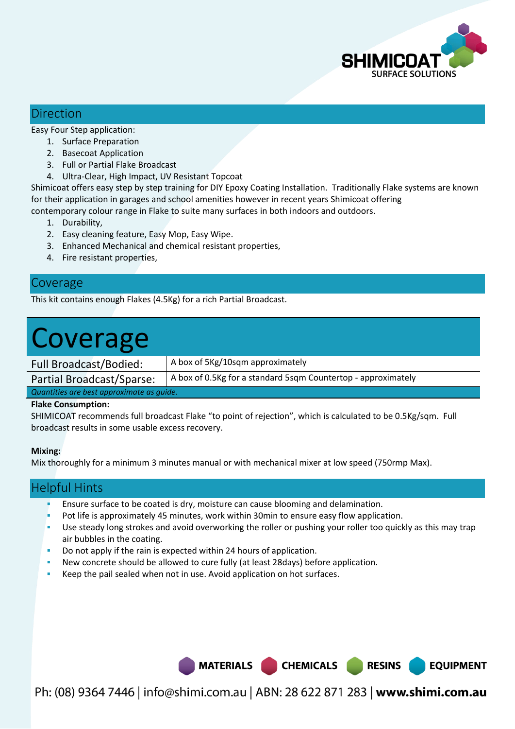

## Direction

Easy Four Step application:

- 1. Surface Preparation
- 2. Basecoat Application
- 3. Full or Partial Flake Broadcast
- 4. Ultra-Clear, High Impact, UV Resistant Topcoat

Shimicoat offers easy step by step training for DIY Epoxy Coating Installation. Traditionally Flake systems are known for their application in garages and school amenities however in recent years Shimicoat offering

contemporary colour range in Flake to suite many surfaces in both indoors and outdoors.

- 1. Durability,
- 2. Easy cleaning feature, Easy Mop, Easy Wipe.
- 3. Enhanced Mechanical and chemical resistant properties,
- 4. Fire resistant properties,

## Coverage

This kit contains enough Flakes (4.5Kg) for a rich Partial Broadcast.

# Coverage

Full Broadcast/Bodied: | A box of 5Kg/10sqm approximately

Partial Broadcast/Sparse:  $\vert$  A box of 0.5Kg for a standard 5sqm Countertop - approximately

*Quantities are best approximate as guide.* 

#### **Flake Consumption:**

SHIMICOAT recommends full broadcast Flake "to point of rejection", which is calculated to be 0.5Kg/sqm. Full broadcast results in some usable excess recovery.

#### **Mixing:**

Mix thoroughly for a minimum 3 minutes manual or with mechanical mixer at low speed (750rmp Max).

## Helpful Hints

- Ensure surface to be coated is dry, moisture can cause blooming and delamination.
- Pot life is approximately 45 minutes, work within 30min to ensure easy flow application.
- Use steady long strokes and avoid overworking the roller or pushing your roller too quickly as this may trap air bubbles in the coating.
- Do not apply if the rain is expected within 24 hours of application.
- New concrete should be allowed to cure fully (at least 28days) before application.
- Keep the pail sealed when not in use. Avoid application on hot surfaces.

Ph: (08) 9364 7446 | info@shimi.com.au | ABN: 28 622 871 283 | www.shimi.com.au

MATERIALS CHEMICALS RESINS

**EQUIPMENT**